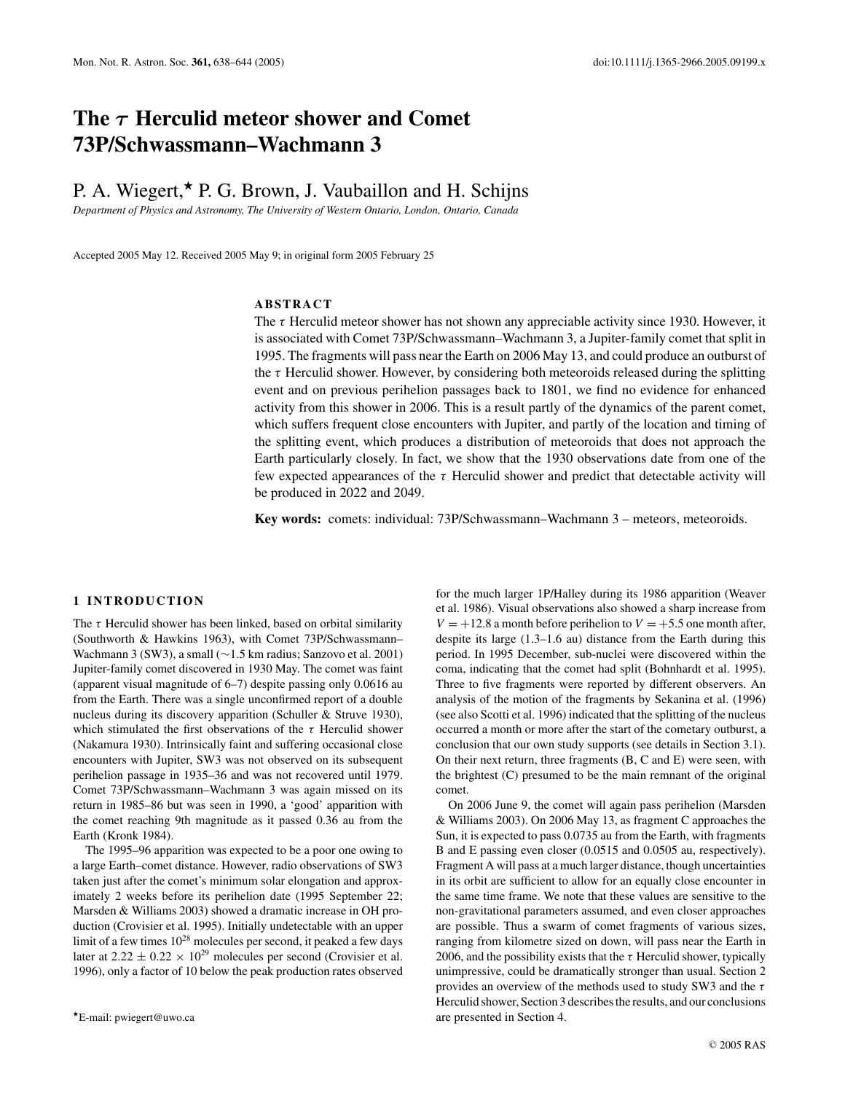# **The** *τ* **Herculid meteor shower and Comet 73P/Schwassmann–Wachmann 3**

## P. A. Wiegert,  $\star$  P. G. Brown, J. Vaubaillon and H. Schijns

*Department of Physics and Astronomy, The University of Western Ontario, London, Ontario, Canada*

Accepted 2005 May 12. Received 2005 May 9; in original form 2005 February 25

## **ABSTRACT**

The  $\tau$  Herculid meteor shower has not shown any appreciable activity since 1930. However, it is associated with Comet 73P/Schwassmann–Wachmann 3, a Jupiter-family comet that split in 1995. The fragments will pass near the Earth on 2006 May 13, and could produce an outburst of the  $\tau$  Herculid shower. However, by considering both meteoroids released during the splitting event and on previous perihelion passages back to 1801, we find no evidence for enhanced activity from this shower in 2006. This is a result partly of the dynamics of the parent comet, which suffers frequent close encounters with Jupiter, and partly of the location and timing of the splitting event, which produces a distribution of meteoroids that does not approach the Earth particularly closely. In fact, we show that the 1930 observations date from one of the few expected appearances of the  $\tau$  Herculid shower and predict that detectable activity will be produced in 2022 and 2049.

Key words: comets: individual: 73P/Schwassmann–Wachmann 3 – meteors, meteoroids.

## **1 INTRODUCTION**

The  $\tau$  Herculid shower has been linked, based on orbital similarity (Southworth & Hawkins 1963), with Comet 73P/Schwassmann– Wachmann 3 (SW3), a small (∼1.5 km radius; Sanzovo et al. 2001) Jupiter-family comet discovered in 1930 May. The comet was faint (apparent visual magnitude of 6–7) despite passing only 0.0616 au from the Earth. There was a single unconfirmed report of a double nucleus during its discovery apparition (Schuller & Struve 1930), which stimulated the first observations of the  $\tau$  Herculid shower (Nakamura 1930). Intrinsically faint and suffering occasional close encounters with Jupiter, SW3 was not observed on its subsequent perihelion passage in 1935–36 and was not recovered until 1979. Comet 73P/Schwassmann–Wachmann 3 was again missed on its return in 1985–86 but was seen in 1990, a 'good' apparition with the comet reaching 9th magnitude as it passed 0.36 au from the Earth (Kronk 1984).

The 1995–96 apparition was expected to be a poor one owing to a large Earth–comet distance. However, radio observations of SW3 taken just after the comet's minimum solar elongation and approximately 2 weeks before its perihelion date (1995 September 22; Marsden & Williams 2003) showed a dramatic increase in OH production (Crovisier et al. 1995). Initially undetectable with an upper limit of a few times  $10^{28}$  molecules per second, it peaked a few days later at  $2.22 \pm 0.22 \times 10^{29}$  molecules per second (Crovisier et al. 1996), only a factor of 10 below the peak production rates observed for the much larger 1P/Halley during its 1986 apparition (Weaver et al. 1986). Visual observations also showed a sharp increase from  $V = +12.8$  a month before perihelion to  $V = +5.5$  one month after, despite its large (1.3–1.6 au) distance from the Earth during this period. In 1995 December, sub-nuclei were discovered within the coma, indicating that the comet had split (Bohnhardt et al. 1995). Three to five fragments were reported by different observers. An analysis of the motion of the fragments by Sekanina et al. (1996) (see also Scotti et al. 1996) indicated that the splitting of the nucleus occurred a month or more after the start of the cometary outburst, a conclusion that our own study supports (see details in Section 3.1). On their next return, three fragments (B, C and E) were seen, with the brightest (C) presumed to be the main remnant of the original comet.

On 2006 June 9, the comet will again pass perihelion (Marsden & Williams 2003). On 2006 May 13, as fragment C approaches the Sun, it is expected to pass 0.0735 au from the Earth, with fragments B and E passing even closer (0.0515 and 0.0505 au, respectively). Fragment A will pass at a much larger distance, though uncertainties in its orbit are sufficient to allow for an equally close encounter in the same time frame. We note that these values are sensitive to the non-gravitational parameters assumed, and even closer approaches are possible. Thus a swarm of comet fragments of various sizes, ranging from kilometre sized on down, will pass near the Earth in 2006, and the possibility exists that the  $\tau$  Herculid shower, typically unimpressive, could be dramatically stronger than usual. Section 2 provides an overview of the methods used to study SW3 and the  $\tau$ Herculid shower, Section 3 describes the results, and our conclusions are presented in Section 4.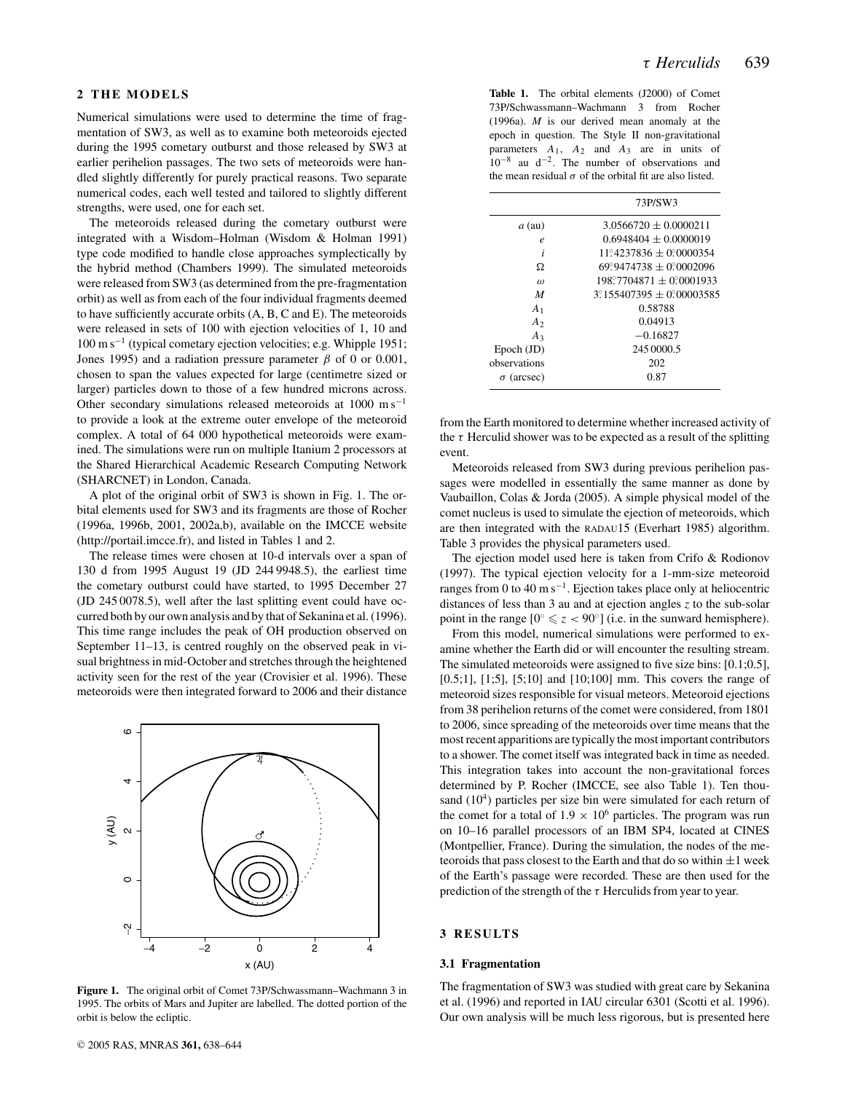## **2 THE MODELS**

Numerical simulations were used to determine the time of fragmentation of SW3, as well as to examine both meteoroids ejected during the 1995 cometary outburst and those released by SW3 at earlier perihelion passages. The two sets of meteoroids were handled slightly differently for purely practical reasons. Two separate numerical codes, each well tested and tailored to slightly different strengths, were used, one for each set.

The meteoroids released during the cometary outburst were integrated with a Wisdom–Holman (Wisdom & Holman 1991) type code modified to handle close approaches symplectically by the hybrid method (Chambers 1999). The simulated meteoroids were released from SW3 (as determined from the pre-fragmentation orbit) as well as from each of the four individual fragments deemed to have sufficiently accurate orbits (A, B, C and E). The meteoroids were released in sets of 100 with ejection velocities of 1, 10 and 100 m s−<sup>1</sup> (typical cometary ejection velocities; e.g. Whipple 1951; Jones 1995) and a radiation pressure parameter  $\beta$  of 0 or 0.001, chosen to span the values expected for large (centimetre sized or larger) particles down to those of a few hundred microns across. Other secondary simulations released meteoroids at 1000 m s−<sup>1</sup> to provide a look at the extreme outer envelope of the meteoroid complex. A total of 64 000 hypothetical meteoroids were examined. The simulations were run on multiple Itanium 2 processors at the Shared Hierarchical Academic Research Computing Network (SHARCNET) in London, Canada.

A plot of the original orbit of SW3 is shown in Fig. 1. The orbital elements used for SW3 and its fragments are those of Rocher (1996a, 1996b, 2001, 2002a,b), available on the IMCCE website (http://portail.imcce.fr), and listed in Tables 1 and 2.

The release times were chosen at 10-d intervals over a span of 130 d from 1995 August 19 (JD 244 9948.5), the earliest time the cometary outburst could have started, to 1995 December 27 (JD 245 0078.5), well after the last splitting event could have occurred both by our own analysis and by that of Sekanina et al. (1996). This time range includes the peak of OH production observed on September 11–13, is centred roughly on the observed peak in visual brightness in mid-October and stretches through the heightened activity seen for the rest of the year (Crovisier et al. 1996). These meteoroids were then integrated forward to 2006 and their distance



**Figure 1.** The original orbit of Comet 73P/Schwassmann–Wachmann 3 in 1995. The orbits of Mars and Jupiter are labelled. The dotted portion of the orbit is below the ecliptic.

**Table 1.** The orbital elements (J2000) of Comet 73P/Schwassmann–Wachmann 3 from Rocher (1996a). *M* is our derived mean anomaly at the epoch in question. The Style II non-gravitational parameters *A*1, *A*<sup>2</sup> and *A*<sup>3</sup> are in units of  $10^{-8}$  au d<sup>-2</sup>. The number of observations and the mean residual  $\sigma$  of the orbital fit are also listed.

|                   | 73P/SW3                                  |
|-------------------|------------------------------------------|
| $a$ (au)          | $3.0566720 + 0.0000211$                  |
| e                 | $0.6948404 + 0.0000019$                  |
| i                 | $11^\circ 4237836 + 0.0000354$           |
| Ω                 | $69^{\circ}9474738 + 0^{\circ}0002096$   |
| $\omega$          | $198^{\circ}7704871 + 0^{\circ}0001933$  |
| M                 | $3^{\circ}155407395 + 0^{\circ}00003585$ |
| A <sub>1</sub>    | 0.58788                                  |
| A <sub>2</sub>    | 0.04913                                  |
| $A_3$             | $-0.16827$                               |
| $Epoch$ (JD)      | 245 0000.5                               |
| observations      | 202                                      |
| $\sigma$ (arcsec) | 0.87                                     |
|                   |                                          |

from the Earth monitored to determine whether increased activity of the  $\tau$  Herculid shower was to be expected as a result of the splitting event.

Meteoroids released from SW3 during previous perihelion passages were modelled in essentially the same manner as done by Vaubaillon, Colas & Jorda (2005). A simple physical model of the comet nucleus is used to simulate the ejection of meteoroids, which are then integrated with the RADAU15 (Everhart 1985) algorithm. Table 3 provides the physical parameters used.

The ejection model used here is taken from Crifo & Rodionov (1997). The typical ejection velocity for a 1-mm-size meteoroid ranges from 0 to 40 m s−1. Ejection takes place only at heliocentric distances of less than 3 au and at ejection angles *z* to the sub-solar point in the range  $[0^\circ \leq z < 90^\circ]$  (i.e. in the sunward hemisphere).

From this model, numerical simulations were performed to examine whether the Earth did or will encounter the resulting stream. The simulated meteoroids were assigned to five size bins: [0.1;0.5], [0.5;1], [1;5], [5;10] and [10;100] mm. This covers the range of meteoroid sizes responsible for visual meteors. Meteoroid ejections from 38 perihelion returns of the comet were considered, from 1801 to 2006, since spreading of the meteoroids over time means that the most recent apparitions are typically the most important contributors to a shower. The comet itself was integrated back in time as needed. This integration takes into account the non-gravitational forces determined by P. Rocher (IMCCE, see also Table 1). Ten thousand  $(10<sup>4</sup>)$  particles per size bin were simulated for each return of the comet for a total of  $1.9 \times 10^6$  particles. The program was run on 10–16 parallel processors of an IBM SP4, located at CINES (Montpellier, France). During the simulation, the nodes of the meteoroids that pass closest to the Earth and that do so within  $\pm 1$  week of the Earth's passage were recorded. These are then used for the prediction of the strength of the  $\tau$  Herculids from year to year.

## **3 RESULTS**

#### **3.1 Fragmentation**

The fragmentation of SW3 was studied with great care by Sekanina et al. (1996) and reported in IAU circular 6301 (Scotti et al. 1996). Our own analysis will be much less rigorous, but is presented here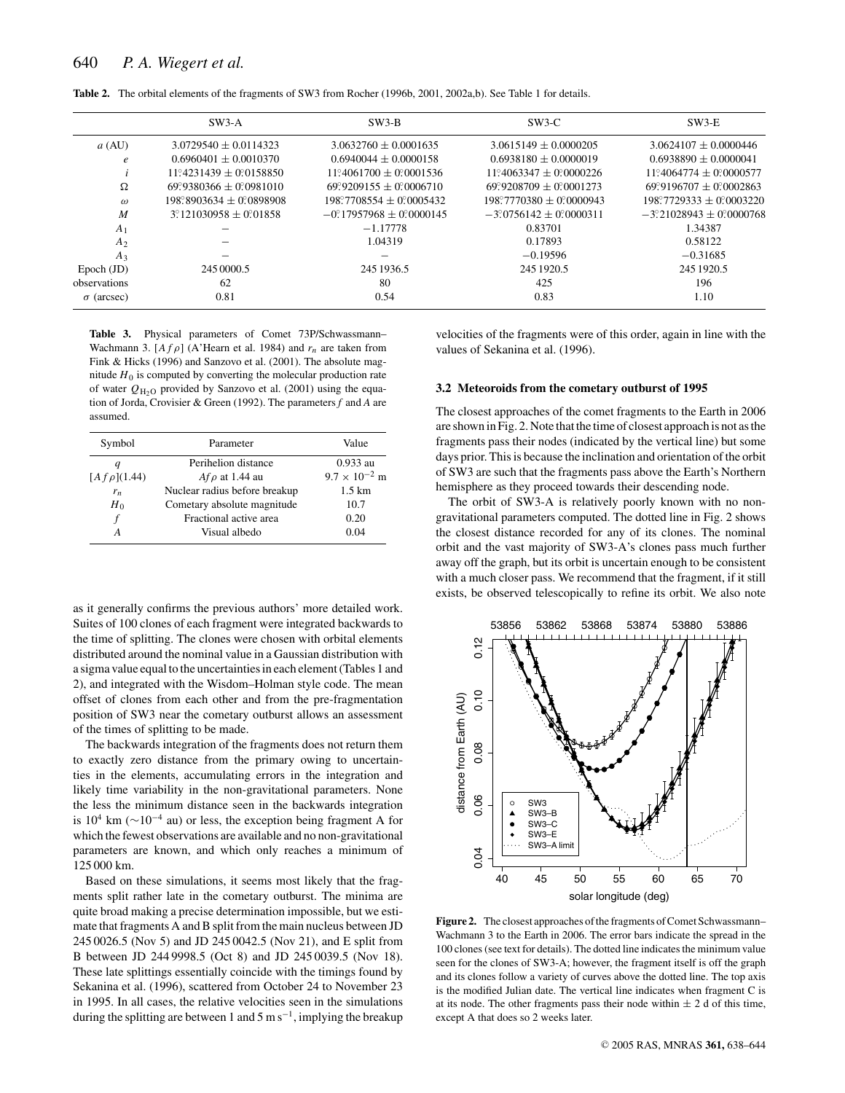|                   | $SW3-A$                                | $SW3-B$                                 | $SW3-C$                                | $SW3-E$                                 |
|-------------------|----------------------------------------|-----------------------------------------|----------------------------------------|-----------------------------------------|
| a (AU)            | $3.0729540 \pm 0.0114323$              | $3.0632760 \pm 0.0001635$               | $3.0615149 \pm 0.0000205$              | $3.0624107 \pm 0.0000446$               |
| e                 | $0.6960401 + 0.0010370$                | $0.6940044 + 0.0000158$                 | $0.6938180 + 0.0000019$                | $0.6938890 + 0.0000041$                 |
|                   | $11^{\circ}4231439 + 0^{\circ}0158850$ | $11^{\circ}4061700 + 0^{\circ}0001536$  | $11^{\circ}4063347 + 0^{\circ}0000226$ | $11^{\circ}4064774 + 0^{\circ}0000577$  |
| Ω                 | $69^{\circ}9380366 + 0^{\circ}0981010$ | $69\degree 9209155 + 0\degree 0006710$  | $69°9208709 + 0°0001273$               | $69°9196707 + 0°0002863$                |
| $\omega$          | $198^\circ 8903634 + 0^\circ 0898908$  | $198^{\circ}7708554 + 0^{\circ}0005432$ | $198^{\circ}7770380 \pm 0$ 20000943    | $198^{\circ}7729333 + 0^{\circ}0003220$ |
| M                 | $3^{\circ}121030958 \pm 0.01858$       | $-0$ 17957968 $\pm$ 0 0000145           | $-3$ ° 0756142 + 0° 0000311            | $-3$ °21028943 $\pm$ 0°0000768          |
| A <sub>1</sub>    |                                        | $-1.17778$                              | 0.83701                                | 1.34387                                 |
| A <sub>2</sub>    |                                        | 1.04319                                 | 0.17893                                | 0.58122                                 |
| $A_3$             |                                        |                                         | $-0.19596$                             | $-0.31685$                              |
| $Epoch$ (JD)      | 245 0000.5                             | 245 1936.5                              | 245 1920.5                             | 245 1920.5                              |
| observations      | 62                                     | 80                                      | 425                                    | 196                                     |
| $\sigma$ (arcsec) | 0.81                                   | 0.54                                    | 0.83                                   | 1.10                                    |

**Table 2.** The orbital elements of the fragments of SW3 from Rocher (1996b, 2001, 2002a,b). See Table 1 for details.

**Table 3.** Physical parameters of Comet 73P/Schwassmann– Wachmann 3.  $[A f \rho]$  (A'Hearn et al. 1984) and  $r_n$  are taken from Fink & Hicks (1996) and Sanzovo et al. (2001). The absolute magnitude  $H_0$  is computed by converting the molecular production rate of water  $Q_{\text{H}_2\text{O}}$  provided by Sanzovo et al. (2001) using the equation of Jorda, Crovisier & Green (1992). The parameters *f* and *A* are assumed.

| Symbol             | Parameter                     | Value                  |
|--------------------|-------------------------------|------------------------|
|                    | Perihelion distance           | $0.933$ au             |
| $[A f \rho](1.44)$ | $Af \rho$ at 1.44 au          | $9.7 \times 10^{-2}$ m |
| $r_n$              | Nuclear radius before breakup | $1.5 \mathrm{km}$      |
| $H_0$              | Cometary absolute magnitude   | 10.7                   |
| f                  | Fractional active area        | 0.20                   |
|                    | Visual albedo                 | 0.04                   |

as it generally confirms the previous authors' more detailed work. Suites of 100 clones of each fragment were integrated backwards to the time of splitting. The clones were chosen with orbital elements distributed around the nominal value in a Gaussian distribution with a sigma value equal to the uncertainties in each element (Tables 1 and 2), and integrated with the Wisdom–Holman style code. The mean offset of clones from each other and from the pre-fragmentation position of SW3 near the cometary outburst allows an assessment of the times of splitting to be made.

The backwards integration of the fragments does not return them to exactly zero distance from the primary owing to uncertainties in the elements, accumulating errors in the integration and likely time variability in the non-gravitational parameters. None the less the minimum distance seen in the backwards integration is  $10^4$  km ( $\sim$ 10<sup>-4</sup> au) or less, the exception being fragment A for which the fewest observations are available and no non-gravitational parameters are known, and which only reaches a minimum of 125 000 km.

Based on these simulations, it seems most likely that the fragments split rather late in the cometary outburst. The minima are quite broad making a precise determination impossible, but we estimate that fragments A and B split from the main nucleus between JD 245 0026.5 (Nov 5) and JD 245 0042.5 (Nov 21), and E split from B between JD 244 9998.5 (Oct 8) and JD 245 0039.5 (Nov 18). These late splittings essentially coincide with the timings found by Sekanina et al. (1996), scattered from October 24 to November 23 in 1995. In all cases, the relative velocities seen in the simulations during the splitting are between 1 and 5 m s<sup>-1</sup>, implying the breakup

velocities of the fragments were of this order, again in line with the values of Sekanina et al. (1996).

#### **3.2 Meteoroids from the cometary outburst of 1995**

The closest approaches of the comet fragments to the Earth in 2006 are shown in Fig. 2. Note that the time of closest approach is not as the fragments pass their nodes (indicated by the vertical line) but some days prior. This is because the inclination and orientation of the orbit of SW3 are such that the fragments pass above the Earth's Northern hemisphere as they proceed towards their descending node.

The orbit of SW3-A is relatively poorly known with no nongravitational parameters computed. The dotted line in Fig. 2 shows the closest distance recorded for any of its clones. The nominal orbit and the vast majority of SW3-A's clones pass much further away off the graph, but its orbit is uncertain enough to be consistent with a much closer pass. We recommend that the fragment, if it still exists, be observed telescopically to refine its orbit. We also note



**Figure 2.** The closest approaches of the fragments of Comet Schwassmann– Wachmann 3 to the Earth in 2006. The error bars indicate the spread in the 100 clones (see text for details). The dotted line indicates the minimum value seen for the clones of SW3-A; however, the fragment itself is off the graph and its clones follow a variety of curves above the dotted line. The top axis is the modified Julian date. The vertical line indicates when fragment C is at its node. The other fragments pass their node within  $\pm 2$  d of this time, except A that does so 2 weeks later.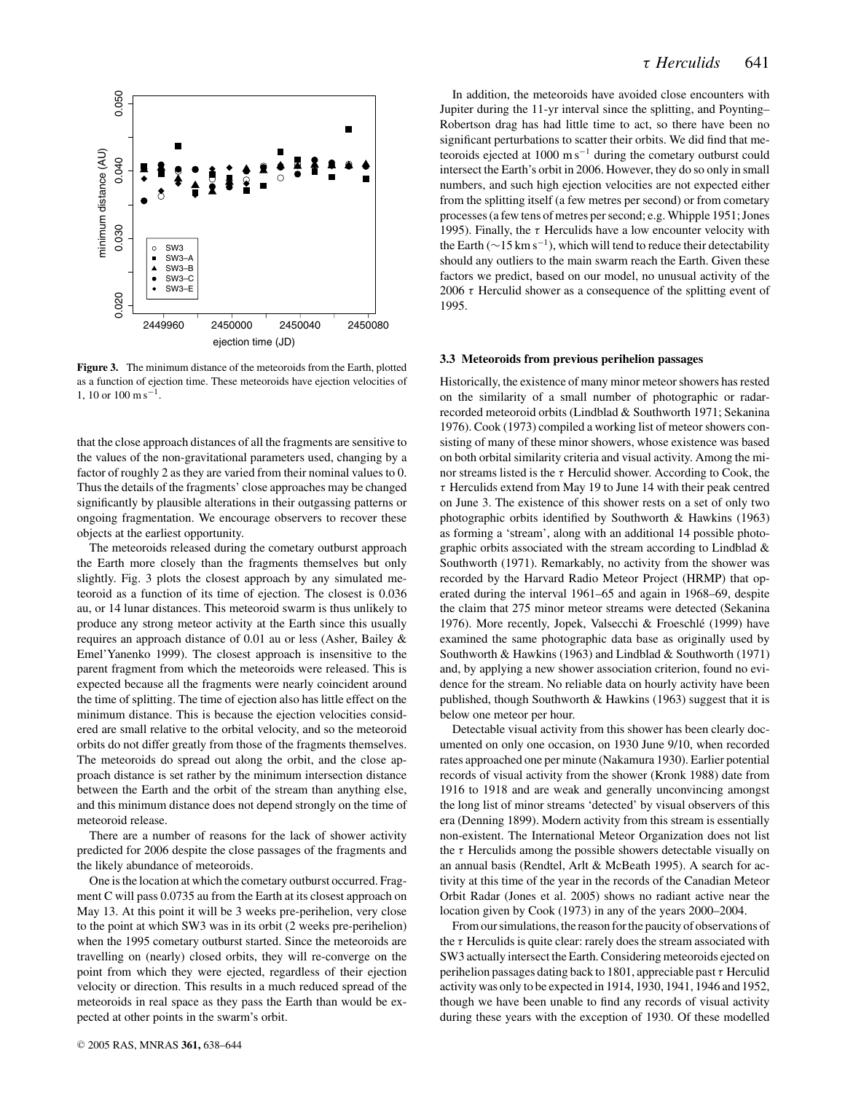

**Figure 3.** The minimum distance of the meteoroids from the Earth, plotted as a function of ejection time. These meteoroids have ejection velocities of  $1, 10$  or  $100 \text{ m s}^{-1}$ .

that the close approach distances of all the fragments are sensitive to the values of the non-gravitational parameters used, changing by a factor of roughly 2 as they are varied from their nominal values to 0. Thus the details of the fragments' close approaches may be changed significantly by plausible alterations in their outgassing patterns or ongoing fragmentation. We encourage observers to recover these objects at the earliest opportunity.

The meteoroids released during the cometary outburst approach the Earth more closely than the fragments themselves but only slightly. Fig. 3 plots the closest approach by any simulated meteoroid as a function of its time of ejection. The closest is 0.036 au, or 14 lunar distances. This meteoroid swarm is thus unlikely to produce any strong meteor activity at the Earth since this usually requires an approach distance of 0.01 au or less (Asher, Bailey & Emel'Yanenko 1999). The closest approach is insensitive to the parent fragment from which the meteoroids were released. This is expected because all the fragments were nearly coincident around the time of splitting. The time of ejection also has little effect on the minimum distance. This is because the ejection velocities considered are small relative to the orbital velocity, and so the meteoroid orbits do not differ greatly from those of the fragments themselves. The meteoroids do spread out along the orbit, and the close approach distance is set rather by the minimum intersection distance between the Earth and the orbit of the stream than anything else, and this minimum distance does not depend strongly on the time of meteoroid release.

There are a number of reasons for the lack of shower activity predicted for 2006 despite the close passages of the fragments and the likely abundance of meteoroids.

One is the location at which the cometary outburst occurred. Fragment C will pass 0.0735 au from the Earth at its closest approach on May 13. At this point it will be 3 weeks pre-perihelion, very close to the point at which SW3 was in its orbit (2 weeks pre-perihelion) when the 1995 cometary outburst started. Since the meteoroids are travelling on (nearly) closed orbits, they will re-converge on the point from which they were ejected, regardless of their ejection velocity or direction. This results in a much reduced spread of the meteoroids in real space as they pass the Earth than would be expected at other points in the swarm's orbit.

In addition, the meteoroids have avoided close encounters with Jupiter during the 11-yr interval since the splitting, and Poynting– Robertson drag has had little time to act, so there have been no significant perturbations to scatter their orbits. We did find that meteoroids ejected at  $1000 \text{ m s}^{-1}$  during the cometary outburst could intersect the Earth's orbit in 2006. However, they do so only in small numbers, and such high ejection velocities are not expected either from the splitting itself (a few metres per second) or from cometary processes (a few tens of metres per second; e.g. Whipple 1951; Jones 1995). Finally, the  $\tau$  Herculids have a low encounter velocity with the Earth ( $\sim$ 15 km s<sup>-1</sup>), which will tend to reduce their detectability should any outliers to the main swarm reach the Earth. Given these factors we predict, based on our model, no unusual activity of the 2006  $\tau$  Herculid shower as a consequence of the splitting event of 1995.

#### **3.3 Meteoroids from previous perihelion passages**

Historically, the existence of many minor meteor showers has rested on the similarity of a small number of photographic or radarrecorded meteoroid orbits (Lindblad & Southworth 1971; Sekanina 1976). Cook (1973) compiled a working list of meteor showers consisting of many of these minor showers, whose existence was based on both orbital similarity criteria and visual activity. Among the minor streams listed is the  $\tau$  Herculid shower. According to Cook, the  $\tau$  Herculids extend from May 19 to June 14 with their peak centred on June 3. The existence of this shower rests on a set of only two photographic orbits identified by Southworth & Hawkins (1963) as forming a 'stream', along with an additional 14 possible photographic orbits associated with the stream according to Lindblad & Southworth (1971). Remarkably, no activity from the shower was recorded by the Harvard Radio Meteor Project (HRMP) that operated during the interval 1961–65 and again in 1968–69, despite the claim that 275 minor meteor streams were detected (Sekanina 1976). More recently, Jopek, Valsecchi & Froeschlé (1999) have examined the same photographic data base as originally used by Southworth & Hawkins (1963) and Lindblad & Southworth (1971) and, by applying a new shower association criterion, found no evidence for the stream. No reliable data on hourly activity have been published, though Southworth & Hawkins (1963) suggest that it is below one meteor per hour.

Detectable visual activity from this shower has been clearly documented on only one occasion, on 1930 June 9/10, when recorded rates approached one per minute (Nakamura 1930). Earlier potential records of visual activity from the shower (Kronk 1988) date from 1916 to 1918 and are weak and generally unconvincing amongst the long list of minor streams 'detected' by visual observers of this era (Denning 1899). Modern activity from this stream is essentially non-existent. The International Meteor Organization does not list the  $\tau$  Herculids among the possible showers detectable visually on an annual basis (Rendtel, Arlt & McBeath 1995). A search for activity at this time of the year in the records of the Canadian Meteor Orbit Radar (Jones et al. 2005) shows no radiant active near the location given by Cook (1973) in any of the years 2000–2004.

From our simulations, the reason for the paucity of observations of the  $\tau$  Herculids is quite clear: rarely does the stream associated with SW3 actually intersect the Earth. Considering meteoroids ejected on perihelion passages dating back to 1801, appreciable past  $\tau$  Herculid activity was only to be expected in 1914, 1930, 1941, 1946 and 1952, though we have been unable to find any records of visual activity during these years with the exception of 1930. Of these modelled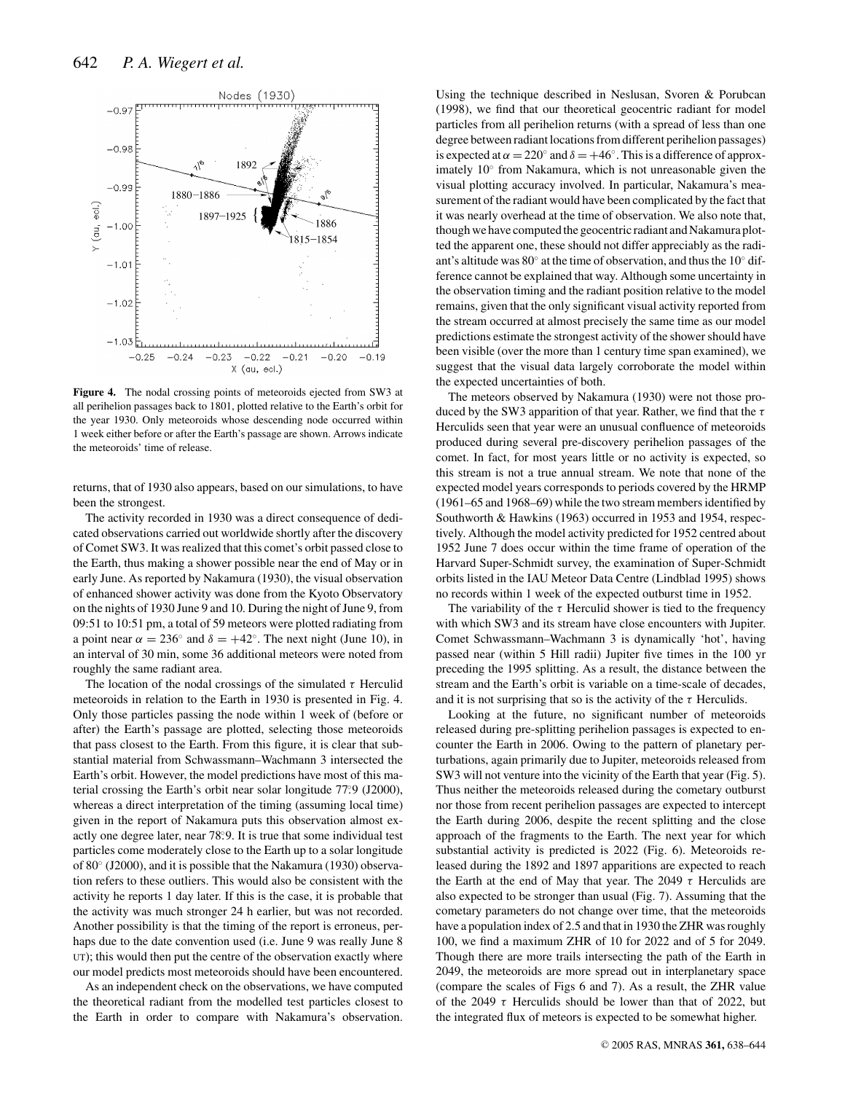

**Figure 4.** The nodal crossing points of meteoroids ejected from SW3 at all perihelion passages back to 1801, plotted relative to the Earth's orbit for the year 1930. Only meteoroids whose descending node occurred within 1 week either before or after the Earth's passage are shown. Arrows indicate the meteoroids' time of release.

returns, that of 1930 also appears, based on our simulations, to have been the strongest.

The activity recorded in 1930 was a direct consequence of dedicated observations carried out worldwide shortly after the discovery of Comet SW3. It was realized that this comet's orbit passed close to the Earth, thus making a shower possible near the end of May or in early June. As reported by Nakamura (1930), the visual observation of enhanced shower activity was done from the Kyoto Observatory on the nights of 1930 June 9 and 10. During the night of June 9, from 09:51 to 10:51 pm, a total of 59 meteors were plotted radiating from a point near  $\alpha = 236^\circ$  and  $\delta = +42^\circ$ . The next night (June 10), in an interval of 30 min, some 36 additional meteors were noted from roughly the same radiant area.

The location of the nodal crossings of the simulated  $\tau$  Herculid meteoroids in relation to the Earth in 1930 is presented in Fig. 4. Only those particles passing the node within 1 week of (before or after) the Earth's passage are plotted, selecting those meteoroids that pass closest to the Earth. From this figure, it is clear that substantial material from Schwassmann–Wachmann 3 intersected the Earth's orbit. However, the model predictions have most of this material crossing the Earth's orbit near solar longitude 77.9 (J2000), whereas a direct interpretation of the timing (assuming local time) given in the report of Nakamura puts this observation almost exactly one degree later, near 78. ◦9. It is true that some individual test particles come moderately close to the Earth up to a solar longitude of 80◦ (J2000), and it is possible that the Nakamura (1930) observation refers to these outliers. This would also be consistent with the activity he reports 1 day later. If this is the case, it is probable that the activity was much stronger 24 h earlier, but was not recorded. Another possibility is that the timing of the report is erroneus, perhaps due to the date convention used (i.e. June 9 was really June 8 UT); this would then put the centre of the observation exactly where our model predicts most meteoroids should have been encountered.

As an independent check on the observations, we have computed the theoretical radiant from the modelled test particles closest to the Earth in order to compare with Nakamura's observation.

Using the technique described in Neslusan, Svoren & Porubcan (1998), we find that our theoretical geocentric radiant for model particles from all perihelion returns (with a spread of less than one degree between radiant locations from different perihelion passages) is expected at  $\alpha = 220^\circ$  and  $\delta = +46^\circ$ . This is a difference of approximately 10◦ from Nakamura, which is not unreasonable given the visual plotting accuracy involved. In particular, Nakamura's measurement of the radiant would have been complicated by the fact that it was nearly overhead at the time of observation. We also note that, though we have computed the geocentric radiant and Nakamura plotted the apparent one, these should not differ appreciably as the radiant's altitude was 80◦ at the time of observation, and thus the 10◦ difference cannot be explained that way. Although some uncertainty in the observation timing and the radiant position relative to the model remains, given that the only significant visual activity reported from the stream occurred at almost precisely the same time as our model predictions estimate the strongest activity of the shower should have been visible (over the more than 1 century time span examined), we suggest that the visual data largely corroborate the model within the expected uncertainties of both.

The meteors observed by Nakamura (1930) were not those produced by the SW3 apparition of that year. Rather, we find that the  $\tau$ Herculids seen that year were an unusual confluence of meteoroids produced during several pre-discovery perihelion passages of the comet. In fact, for most years little or no activity is expected, so this stream is not a true annual stream. We note that none of the expected model years corresponds to periods covered by the HRMP (1961–65 and 1968–69) while the two stream members identified by Southworth & Hawkins (1963) occurred in 1953 and 1954, respectively. Although the model activity predicted for 1952 centred about 1952 June 7 does occur within the time frame of operation of the Harvard Super-Schmidt survey, the examination of Super-Schmidt orbits listed in the IAU Meteor Data Centre (Lindblad 1995) shows no records within 1 week of the expected outburst time in 1952.

The variability of the  $\tau$  Herculid shower is tied to the frequency with which SW3 and its stream have close encounters with Jupiter. Comet Schwassmann–Wachmann 3 is dynamically 'hot', having passed near (within 5 Hill radii) Jupiter five times in the 100 yr preceding the 1995 splitting. As a result, the distance between the stream and the Earth's orbit is variable on a time-scale of decades, and it is not surprising that so is the activity of the  $\tau$  Herculids.

Looking at the future, no significant number of meteoroids released during pre-splitting perihelion passages is expected to encounter the Earth in 2006. Owing to the pattern of planetary perturbations, again primarily due to Jupiter, meteoroids released from SW3 will not venture into the vicinity of the Earth that year (Fig. 5). Thus neither the meteoroids released during the cometary outburst nor those from recent perihelion passages are expected to intercept the Earth during 2006, despite the recent splitting and the close approach of the fragments to the Earth. The next year for which substantial activity is predicted is 2022 (Fig. 6). Meteoroids released during the 1892 and 1897 apparitions are expected to reach the Earth at the end of May that year. The 2049  $\tau$  Herculids are also expected to be stronger than usual (Fig. 7). Assuming that the cometary parameters do not change over time, that the meteoroids have a population index of 2.5 and that in 1930 the ZHR was roughly 100, we find a maximum ZHR of 10 for 2022 and of 5 for 2049. Though there are more trails intersecting the path of the Earth in 2049, the meteoroids are more spread out in interplanetary space (compare the scales of Figs 6 and 7). As a result, the ZHR value of the 2049  $\tau$  Herculids should be lower than that of 2022, but the integrated flux of meteors is expected to be somewhat higher.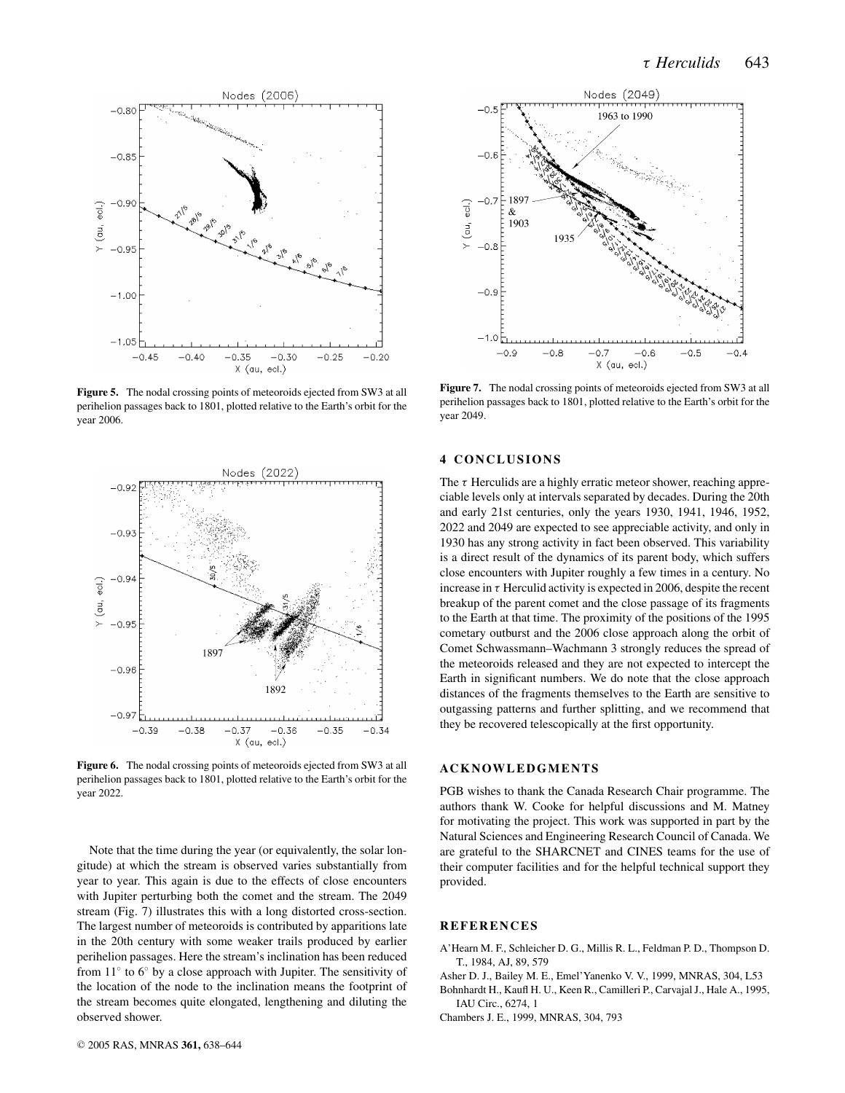

**Figure 5.** The nodal crossing points of meteoroids ejected from SW3 at all perihelion passages back to 1801, plotted relative to the Earth's orbit for the year 2006.



**Figure 6.** The nodal crossing points of meteoroids ejected from SW3 at all perihelion passages back to 1801, plotted relative to the Earth's orbit for the year 2022.

Note that the time during the year (or equivalently, the solar longitude) at which the stream is observed varies substantially from year to year. This again is due to the effects of close encounters with Jupiter perturbing both the comet and the stream. The 2049 stream (Fig. 7) illustrates this with a long distorted cross-section. The largest number of meteoroids is contributed by apparitions late in the 20th century with some weaker trails produced by earlier perihelion passages. Here the stream's inclination has been reduced from 11◦ to 6◦ by a close approach with Jupiter. The sensitivity of the location of the node to the inclination means the footprint of the stream becomes quite elongated, lengthening and diluting the observed shower.



**Figure 7.** The nodal crossing points of meteoroids ejected from SW3 at all perihelion passages back to 1801, plotted relative to the Earth's orbit for the year 2049.

## **4 CONCLUSIONS**

The  $\tau$  Herculids are a highly erratic meteor shower, reaching appreciable levels only at intervals separated by decades. During the 20th and early 21st centuries, only the years 1930, 1941, 1946, 1952, 2022 and 2049 are expected to see appreciable activity, and only in 1930 has any strong activity in fact been observed. This variability is a direct result of the dynamics of its parent body, which suffers close encounters with Jupiter roughly a few times in a century. No increase in  $\tau$  Herculid activity is expected in 2006, despite the recent breakup of the parent comet and the close passage of its fragments to the Earth at that time. The proximity of the positions of the 1995 cometary outburst and the 2006 close approach along the orbit of Comet Schwassmann–Wachmann 3 strongly reduces the spread of the meteoroids released and they are not expected to intercept the Earth in significant numbers. We do note that the close approach distances of the fragments themselves to the Earth are sensitive to outgassing patterns and further splitting, and we recommend that they be recovered telescopically at the first opportunity.

### **ACKNOWLEDGMENTS**

PGB wishes to thank the Canada Research Chair programme. The authors thank W. Cooke for helpful discussions and M. Matney for motivating the project. This work was supported in part by the Natural Sciences and Engineering Research Council of Canada. We are grateful to the SHARCNET and CINES teams for the use of their computer facilities and for the helpful technical support they provided.

## **REFERENCES**

- A'Hearn M. F., Schleicher D. G., Millis R. L., Feldman P. D., Thompson D. T., 1984, AJ, 89, 579
- Asher D. J., Bailey M. E., Emel'Yanenko V. V., 1999, MNRAS, 304, L53
- Bohnhardt H., Kaufl H. U., Keen R., Camilleri P., Carvajal J., Hale A., 1995, IAU Circ., 6274, 1

Chambers J. E., 1999, MNRAS, 304, 793